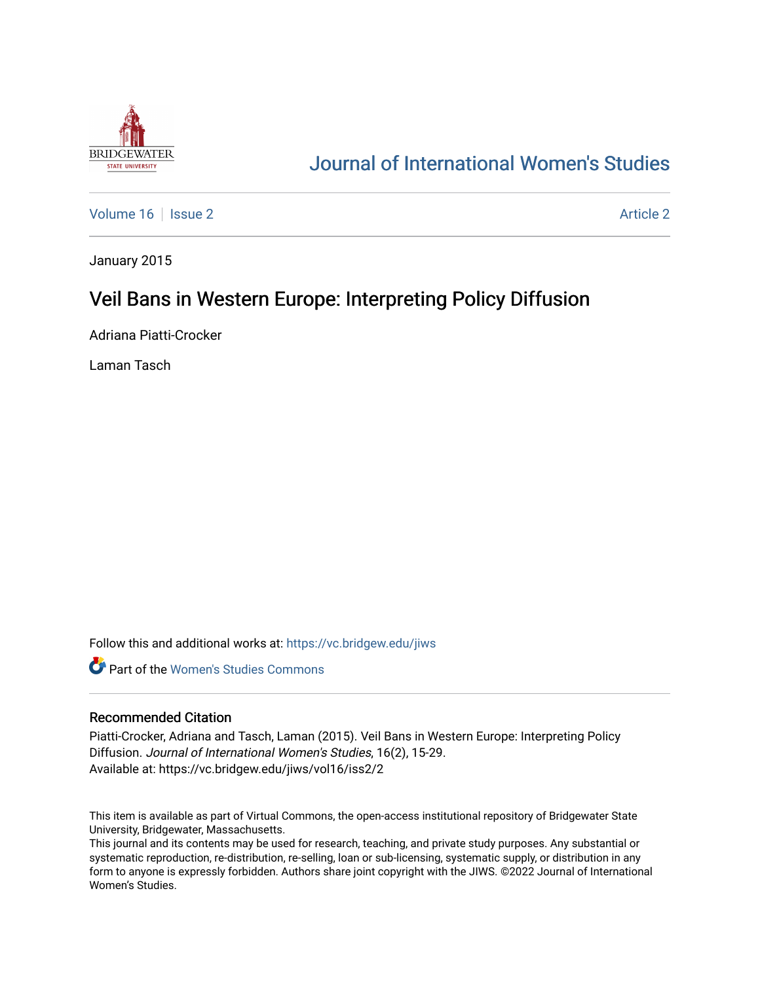

# [Journal of International Women's Studies](https://vc.bridgew.edu/jiws)

[Volume 16](https://vc.bridgew.edu/jiws/vol16) September 2 [Article 2](https://vc.bridgew.edu/jiws/vol16/iss2/2) Article 2 Article 2 Article 2 Article 2 Article 2

January 2015

# Veil Bans in Western Europe: Interpreting Policy Diffusion

Adriana Piatti-Crocker

Laman Tasch

Follow this and additional works at: [https://vc.bridgew.edu/jiws](https://vc.bridgew.edu/jiws?utm_source=vc.bridgew.edu%2Fjiws%2Fvol16%2Fiss2%2F2&utm_medium=PDF&utm_campaign=PDFCoverPages)

**C** Part of the Women's Studies Commons

#### Recommended Citation

Piatti-Crocker, Adriana and Tasch, Laman (2015). Veil Bans in Western Europe: Interpreting Policy Diffusion. Journal of International Women's Studies, 16(2), 15-29. Available at: https://vc.bridgew.edu/jiws/vol16/iss2/2

This item is available as part of Virtual Commons, the open-access institutional repository of Bridgewater State University, Bridgewater, Massachusetts.

This journal and its contents may be used for research, teaching, and private study purposes. Any substantial or systematic reproduction, re-distribution, re-selling, loan or sub-licensing, systematic supply, or distribution in any form to anyone is expressly forbidden. Authors share joint copyright with the JIWS. ©2022 Journal of International Women's Studies.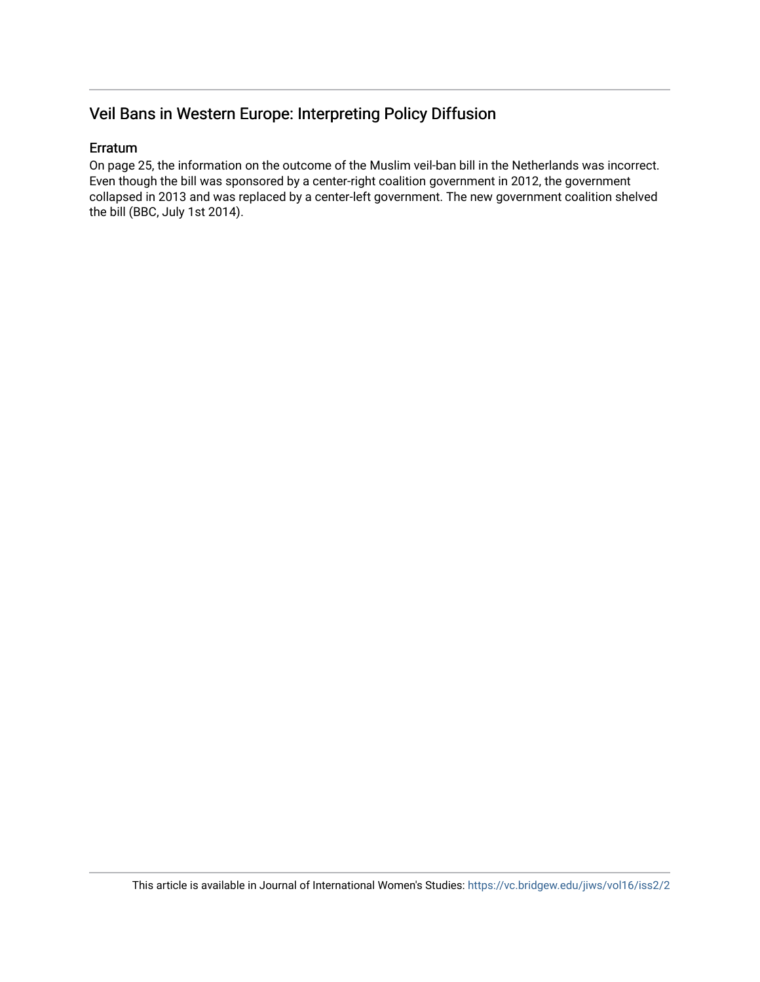# Veil Bans in Western Europe: Interpreting Policy Diffusion

# Erratum

On page 25, the information on the outcome of the Muslim veil-ban bill in the Netherlands was incorrect. Even though the bill was sponsored by a center-right coalition government in 2012, the government collapsed in 2013 and was replaced by a center-left government. The new government coalition shelved the bill (BBC, July 1st 2014).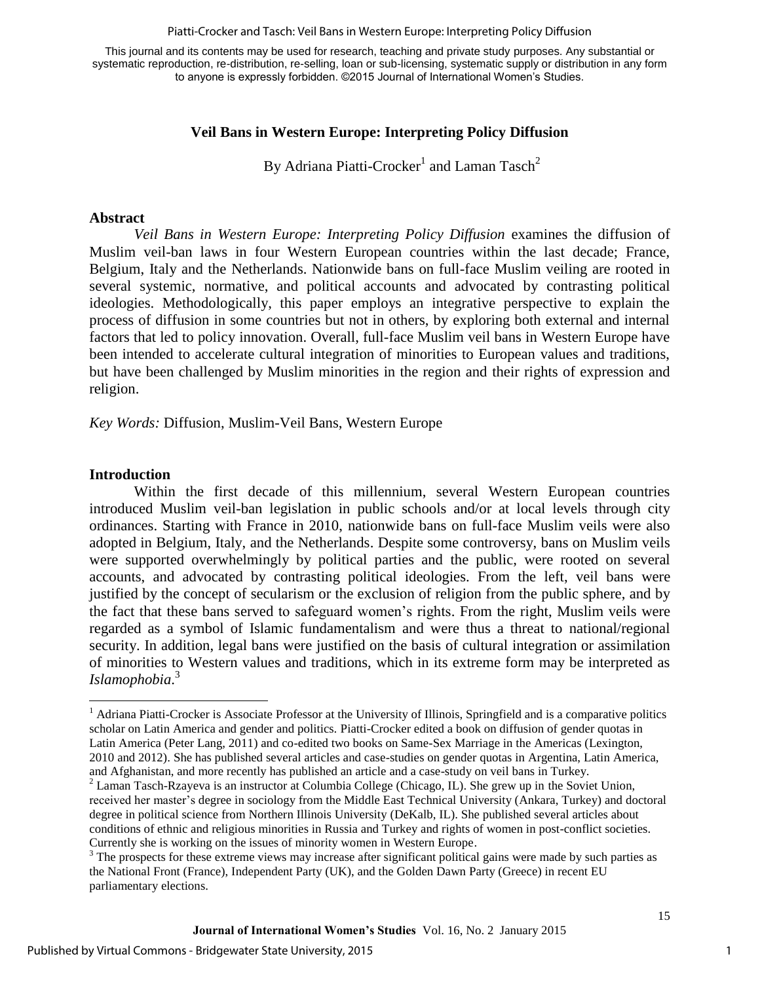#### Piatti-Crocker and Tasch: Veil Bans in Western Europe: Interpreting Policy Diffusion

This journal and its contents may be used for research, teaching and private study purposes. Any substantial or systematic reproduction, re-distribution, re-selling, loan or sub-licensing, systematic supply or distribution in any form to anyone is expressly forbidden. ©2015 Journal of International Women's Studies.

# **Veil Bans in Western Europe: Interpreting Policy Diffusion**

By Adriana Piatti-Crocker $^{\rm l}$  and Laman Tasch $^{\rm 2}$ 

#### **Abstract**

*Veil Bans in Western Europe: Interpreting Policy Diffusion* examines the diffusion of Muslim veil-ban laws in four Western European countries within the last decade; France, Belgium, Italy and the Netherlands. Nationwide bans on full-face Muslim veiling are rooted in several systemic, normative, and political accounts and advocated by contrasting political ideologies. Methodologically, this paper employs an integrative perspective to explain the process of diffusion in some countries but not in others, by exploring both external and internal factors that led to policy innovation. Overall, full-face Muslim veil bans in Western Europe have been intended to accelerate cultural integration of minorities to European values and traditions, but have been challenged by Muslim minorities in the region and their rights of expression and religion.

*Key Words:* Diffusion, Muslim-Veil Bans, Western Europe

#### **Introduction**

 $\overline{\phantom{a}}$ 

Within the first decade of this millennium, several Western European countries introduced Muslim veil-ban legislation in public schools and/or at local levels through city ordinances. Starting with France in 2010, nationwide bans on full-face Muslim veils were also adopted in Belgium, Italy, and the Netherlands. Despite some controversy, bans on Muslim veils were supported overwhelmingly by political parties and the public, were rooted on several accounts, and advocated by contrasting political ideologies. From the left, veil bans were justified by the concept of secularism or the exclusion of religion from the public sphere, and by the fact that these bans served to safeguard women's rights. From the right, Muslim veils were regarded as a symbol of Islamic fundamentalism and were thus a threat to national/regional security. In addition, legal bans were justified on the basis of cultural integration or assimilation of minorities to Western values and traditions, which in its extreme form may be interpreted as *Islamophobia*. 3

<sup>&</sup>lt;sup>1</sup> Adriana Piatti-Crocker is Associate Professor at the University of Illinois, Springfield and is a comparative politics scholar on Latin America and gender and politics. Piatti-Crocker edited a book on diffusion of gender quotas in Latin America (Peter Lang, 2011) and co-edited two books on Same-Sex Marriage in the Americas (Lexington, 2010 and 2012). She has published several articles and case-studies on gender quotas in Argentina, Latin America, and Afghanistan, and more recently has published an article and a case-study on veil bans in Turkey.

 $2$  Laman Tasch-Rzayeva is an instructor at Columbia College (Chicago, IL). She grew up in the Soviet Union, received her master's degree in sociology from the Middle East Technical University (Ankara, Turkey) and doctoral degree in political science from Northern Illinois University (DeKalb, IL). She published several articles about conditions of ethnic and religious minorities in Russia and Turkey and rights of women in post-conflict societies. Currently she is working on the issues of minority women in Western Europe.

 $3$  The prospects for these extreme views may increase after significant political gains were made by such parties as the National Front (France), Independent Party (UK), and the Golden Dawn Party (Greece) in recent EU parliamentary elections.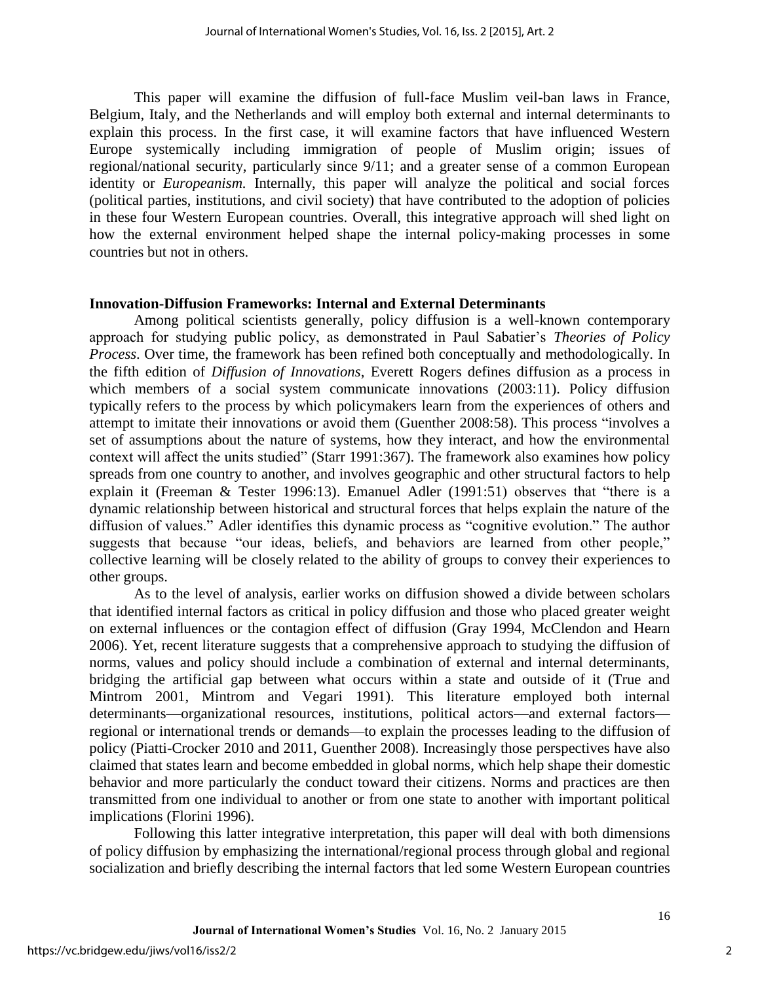This paper will examine the diffusion of full-face Muslim veil-ban laws in France, Belgium, Italy, and the Netherlands and will employ both external and internal determinants to explain this process. In the first case, it will examine factors that have influenced Western Europe systemically including immigration of people of Muslim origin; issues of regional/national security, particularly since 9/11; and a greater sense of a common European identity or *Europeanism.* Internally, this paper will analyze the political and social forces (political parties, institutions, and civil society) that have contributed to the adoption of policies in these four Western European countries. Overall, this integrative approach will shed light on how the external environment helped shape the internal policy-making processes in some countries but not in others.

#### **Innovation-Diffusion Frameworks: Internal and External Determinants**

Among political scientists generally, policy diffusion is a well-known contemporary approach for studying public policy, as demonstrated in Paul Sabatier's *Theories of Policy Process*. Over time, the framework has been refined both conceptually and methodologically. In the fifth edition of *Diffusion of Innovations*, Everett Rogers defines diffusion as a process in which members of a social system communicate innovations (2003:11). Policy diffusion typically refers to the process by which policymakers learn from the experiences of others and attempt to imitate their innovations or avoid them (Guenther 2008:58). This process "involves a set of assumptions about the nature of systems, how they interact, and how the environmental context will affect the units studied" (Starr 1991:367). The framework also examines how policy spreads from one country to another, and involves geographic and other structural factors to help explain it (Freeman & Tester 1996:13). Emanuel Adler (1991:51) observes that "there is a dynamic relationship between historical and structural forces that helps explain the nature of the diffusion of values." Adler identifies this dynamic process as "cognitive evolution." The author suggests that because "our ideas, beliefs, and behaviors are learned from other people," collective learning will be closely related to the ability of groups to convey their experiences to other groups.

As to the level of analysis, earlier works on diffusion showed a divide between scholars that identified internal factors as critical in policy diffusion and those who placed greater weight on external influences or the contagion effect of diffusion (Gray 1994, McClendon and Hearn 2006). Yet, recent literature suggests that a comprehensive approach to studying the diffusion of norms, values and policy should include a combination of external and internal determinants, bridging the artificial gap between what occurs within a state and outside of it (True and Mintrom 2001, Mintrom and Vegari 1991). This literature employed both internal determinants—organizational resources, institutions, political actors—and external factors regional or international trends or demands—to explain the processes leading to the diffusion of policy (Piatti-Crocker 2010 and 2011, Guenther 2008). Increasingly those perspectives have also claimed that states learn and become embedded in global norms, which help shape their domestic behavior and more particularly the conduct toward their citizens. Norms and practices are then transmitted from one individual to another or from one state to another with important political implications (Florini 1996).

Following this latter integrative interpretation, this paper will deal with both dimensions of policy diffusion by emphasizing the international/regional process through global and regional socialization and briefly describing the internal factors that led some Western European countries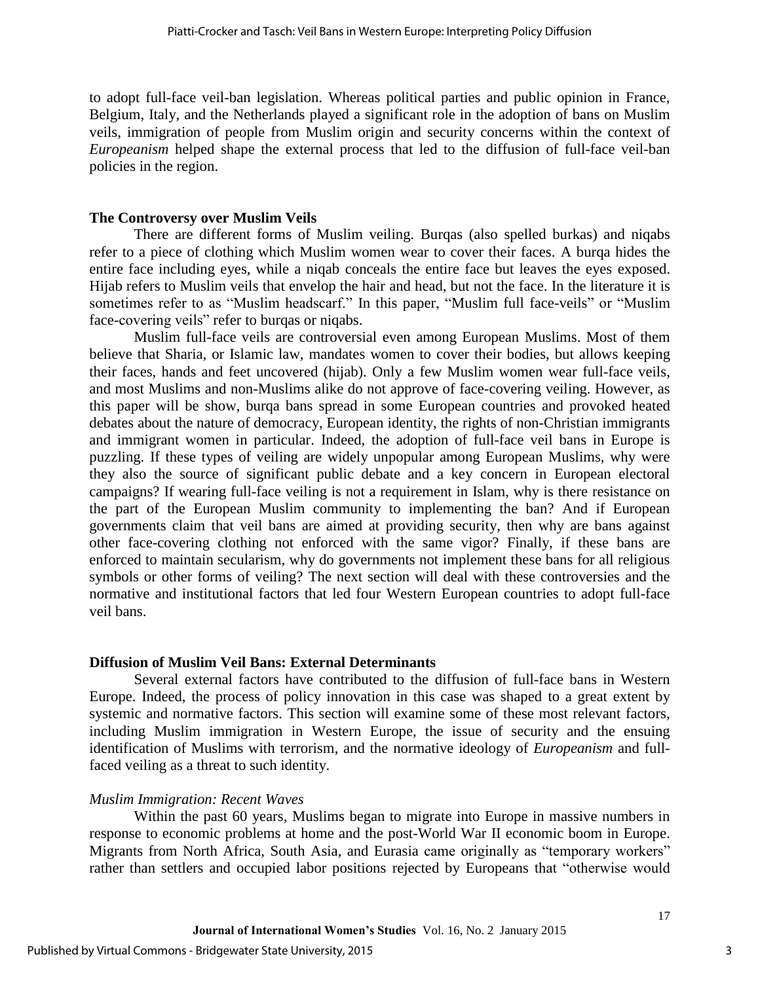to adopt full-face veil-ban legislation. Whereas political parties and public opinion in France, Belgium, Italy, and the Netherlands played a significant role in the adoption of bans on Muslim veils, immigration of people from Muslim origin and security concerns within the context of *Europeanism* helped shape the external process that led to the diffusion of full-face veil-ban policies in the region.

### **The Controversy over Muslim Veils**

There are different forms of Muslim veiling. Burqas (also spelled burkas) and niqabs refer to a piece of clothing which Muslim women wear to cover their faces. A burqa hides the entire face including eyes, while a niqab conceals the entire face but leaves the eyes exposed. Hijab refers to Muslim veils that envelop the hair and head, but not the face. In the literature it is sometimes refer to as "Muslim headscarf." In this paper, "Muslim full face-veils" or "Muslim face-covering veils" refer to burqas or niqabs.

Muslim full-face veils are controversial even among European Muslims. Most of them believe that Sharia, or Islamic law, mandates women to cover their bodies, but allows keeping their faces, hands and feet uncovered (hijab). Only a few Muslim women wear full-face veils, and most Muslims and non-Muslims alike do not approve of face-covering veiling. However, as this paper will be show, burqa bans spread in some European countries and provoked heated debates about the nature of democracy, European identity, the rights of non-Christian immigrants and immigrant women in particular. Indeed, the adoption of full-face veil bans in Europe is puzzling. If these types of veiling are widely unpopular among European Muslims, why were they also the source of significant public debate and a key concern in European electoral campaigns? If wearing full-face veiling is not a requirement in Islam, why is there resistance on the part of the European Muslim community to implementing the ban? And if European governments claim that veil bans are aimed at providing security, then why are bans against other face-covering clothing not enforced with the same vigor? Finally, if these bans are enforced to maintain secularism, why do governments not implement these bans for all religious symbols or other forms of veiling? The next section will deal with these controversies and the normative and institutional factors that led four Western European countries to adopt full-face veil bans.

#### **Diffusion of Muslim Veil Bans: External Determinants**

Several external factors have contributed to the diffusion of full-face bans in Western Europe. Indeed, the process of policy innovation in this case was shaped to a great extent by systemic and normative factors. This section will examine some of these most relevant factors, including Muslim immigration in Western Europe, the issue of security and the ensuing identification of Muslims with terrorism, and the normative ideology of *Europeanism* and fullfaced veiling as a threat to such identity.

#### *Muslim Immigration: Recent Waves*

Within the past 60 years, Muslims began to migrate into Europe in massive numbers in response to economic problems at home and the post-World War II economic boom in Europe. Migrants from North Africa, South Asia, and Eurasia came originally as "temporary workers" rather than settlers and occupied labor positions rejected by Europeans that "otherwise would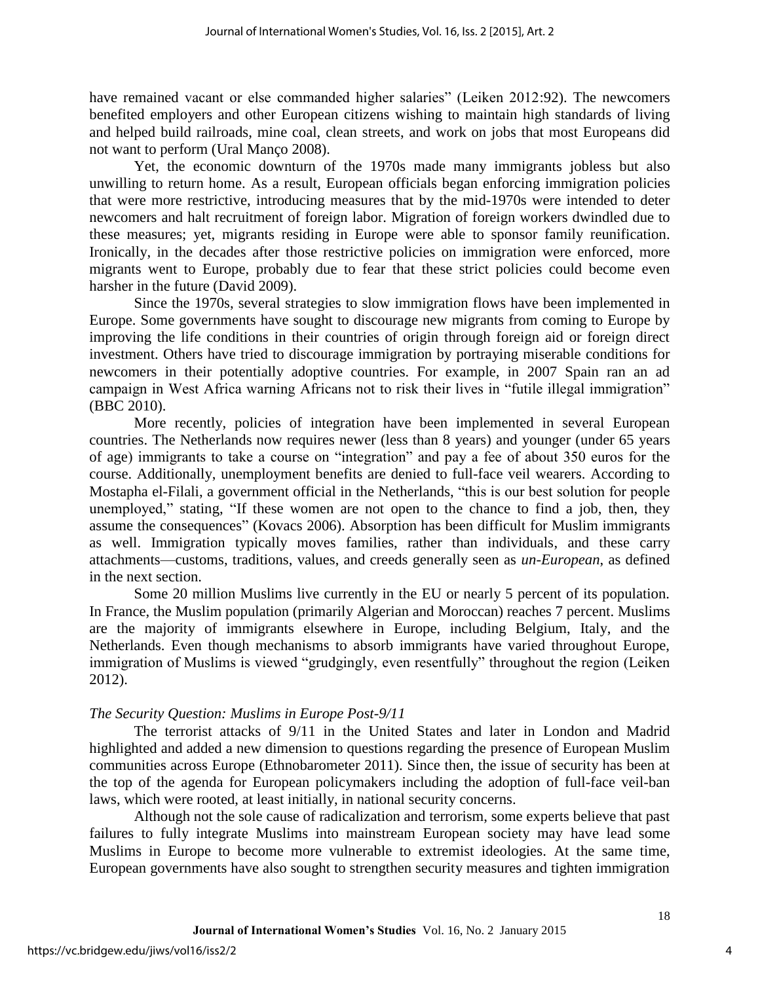have remained vacant or else commanded higher salaries" (Leiken 2012:92). The newcomers benefited employers and other European citizens wishing to maintain high standards of living and helped build railroads, mine coal, clean streets, and work on jobs that most Europeans did not want to perform (Ural Manço 2008).

Yet, the economic downturn of the 1970s made many immigrants jobless but also unwilling to return home. As a result, European officials began enforcing immigration policies that were more restrictive, introducing measures that by the mid-1970s were intended to deter newcomers and halt recruitment of foreign labor. Migration of foreign workers dwindled due to these measures; yet, migrants residing in Europe were able to sponsor family reunification. Ironically, in the decades after those restrictive policies on immigration were enforced, more migrants went to Europe, probably due to fear that these strict policies could become even harsher in the future (David 2009).

Since the 1970s, several strategies to slow immigration flows have been implemented in Europe. Some governments have sought to discourage new migrants from coming to Europe by improving the life conditions in their countries of origin through foreign aid or foreign direct investment. Others have tried to discourage immigration by portraying miserable conditions for newcomers in their potentially adoptive countries. For example, in 2007 Spain ran an ad campaign in West Africa warning Africans not to risk their lives in "futile illegal immigration" (BBC 2010).

More recently, policies of integration have been implemented in several European countries. The Netherlands now requires newer (less than 8 years) and younger (under 65 years of age) immigrants to take a course on "integration" and pay a fee of about 350 euros for the course. Additionally, unemployment benefits are denied to full-face veil wearers. According to Mostapha el-Filali, a government official in the Netherlands, "this is our best solution for people unemployed," stating, "If these women are not open to the chance to find a job, then, they assume the consequences" (Kovacs 2006). Absorption has been difficult for Muslim immigrants as well. Immigration typically moves families, rather than individuals, and these carry attachments—customs, traditions, values, and creeds generally seen as *un-European*, as defined in the next section.

Some 20 million Muslims live currently in the EU or nearly 5 percent of its population. In France, the Muslim population (primarily Algerian and Moroccan) reaches 7 percent. Muslims are the majority of immigrants elsewhere in Europe, including Belgium, Italy, and the Netherlands. Even though mechanisms to absorb immigrants have varied throughout Europe, immigration of Muslims is viewed "grudgingly, even resentfully" throughout the region (Leiken 2012).

# *The Security Question: Muslims in Europe Post-9/11*

The terrorist attacks of 9/11 in the United States and later in London and Madrid highlighted and added a new dimension to questions regarding the presence of European Muslim communities across Europe (Ethnobarometer 2011). Since then, the issue of security has been at the top of the agenda for European policymakers including the adoption of full-face veil-ban laws, which were rooted, at least initially, in national security concerns.

Although not the sole cause of radicalization and terrorism, some experts believe that past failures to fully integrate Muslims into mainstream European society may have lead some Muslims in Europe to become more vulnerable to extremist ideologies. At the same time, European governments have also sought to strengthen security measures and tighten immigration

4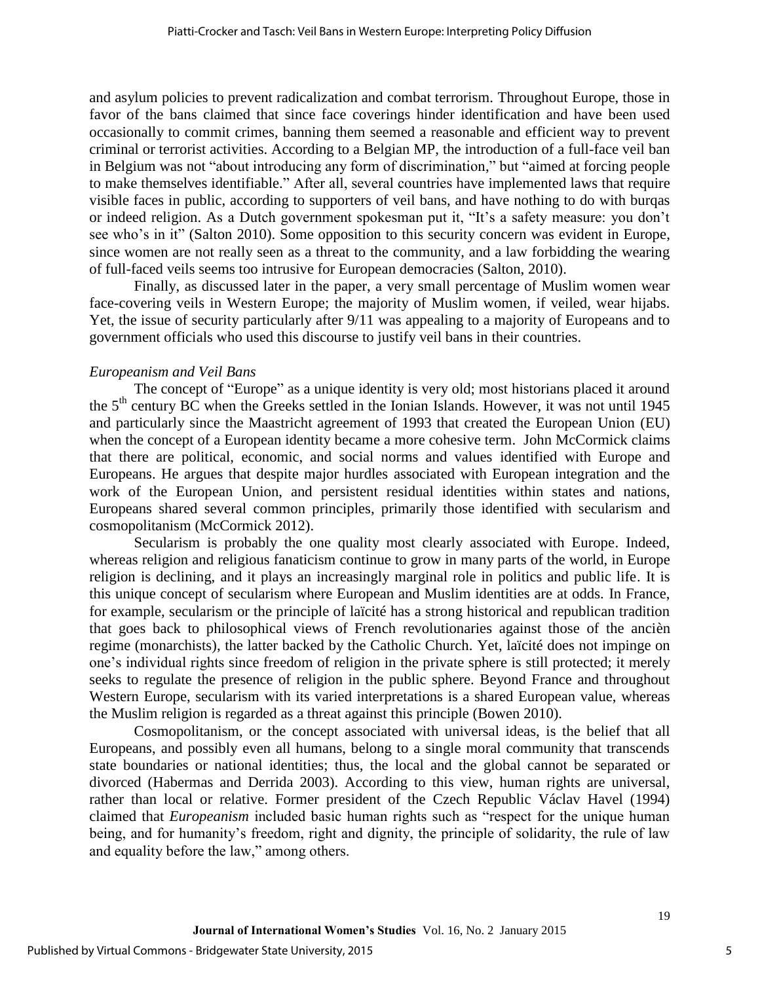and asylum policies to prevent radicalization and combat terrorism. Throughout Europe, those in favor of the bans claimed that since face coverings hinder identification and have been used occasionally to commit crimes, banning them seemed a reasonable and efficient way to prevent criminal or terrorist activities. According to a Belgian MP, the introduction of a full-face veil ban in Belgium was not "about introducing any form of discrimination," but "aimed at forcing people to make themselves identifiable." After all, several countries have implemented laws that require visible faces in public, according to supporters of veil bans, and have nothing to do with burqas or indeed religion. As a Dutch government spokesman put it, "It's a safety measure: you don't see who's in it" (Salton 2010). Some opposition to this security concern was evident in Europe, since women are not really seen as a threat to the community, and a law forbidding the wearing of full-faced veils seems too intrusive for European democracies (Salton, 2010).

Finally, as discussed later in the paper, a very small percentage of Muslim women wear face-covering veils in Western Europe; the majority of Muslim women, if veiled, wear hijabs. Yet, the issue of security particularly after 9/11 was appealing to a majority of Europeans and to government officials who used this discourse to justify veil bans in their countries.

### *Europeanism and Veil Bans*

The concept of "Europe" as a unique identity is very old; most historians placed it around the 5<sup>th</sup> century BC when the Greeks settled in the Ionian Islands. However, it was not until 1945 and particularly since the Maastricht agreement of 1993 that created the European Union (EU) when the concept of a European identity became a more cohesive term. John McCormick claims that there are political, economic, and social norms and values identified with Europe and Europeans. He argues that despite major hurdles associated with European integration and the work of the European Union, and persistent residual identities within states and nations, Europeans shared several common principles, primarily those identified with secularism and cosmopolitanism (McCormick 2012).

Secularism is probably the one quality most clearly associated with Europe. Indeed, whereas religion and religious fanaticism continue to grow in many parts of the world, in Europe religion is declining, and it plays an increasingly marginal role in politics and public life. It is this unique concept of secularism where European and Muslim identities are at odds. In France, for example, secularism or the principle of laïcité has a strong historical and republican tradition that goes back to philosophical views of French revolutionaries against those of the ancièn regime (monarchists), the latter backed by the Catholic Church. Yet, laïcité does not impinge on one's individual rights since freedom of religion in the private sphere is still protected; it merely seeks to regulate the presence of religion in the public sphere. Beyond France and throughout Western Europe, secularism with its varied interpretations is a shared European value, whereas the Muslim religion is regarded as a threat against this principle (Bowen 2010).

Cosmopolitanism, or the concept associated with universal ideas, is the belief that all Europeans, and possibly even all humans, belong to a single moral community that transcends state boundaries or national identities; thus, the local and the global cannot be separated or divorced (Habermas and Derrida 2003). According to this view, human rights are universal, rather than local or relative. Former president of the Czech Republic Václav Havel (1994) claimed that *Europeanism* included basic human rights such as "respect for the unique human being, and for humanity's freedom, right and dignity, the principle of solidarity, the rule of law and equality before the law," among others.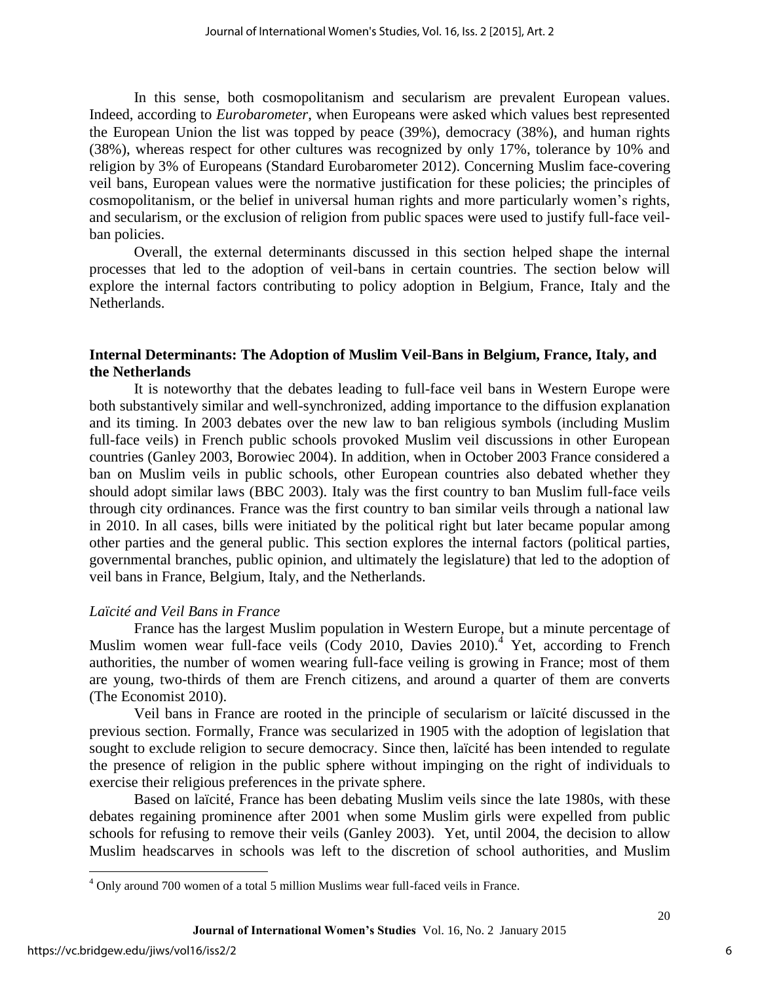In this sense, both cosmopolitanism and secularism are prevalent European values. Indeed, according to *Eurobarometer*, when Europeans were asked which values best represented the European Union the list was topped by peace (39%), democracy (38%), and human rights (38%), whereas respect for other cultures was recognized by only 17%, tolerance by 10% and religion by 3% of Europeans (Standard Eurobarometer 2012). Concerning Muslim face-covering veil bans, European values were the normative justification for these policies; the principles of cosmopolitanism, or the belief in universal human rights and more particularly women's rights, and secularism, or the exclusion of religion from public spaces were used to justify full-face veilban policies.

Overall, the external determinants discussed in this section helped shape the internal processes that led to the adoption of veil-bans in certain countries. The section below will explore the internal factors contributing to policy adoption in Belgium, France, Italy and the Netherlands.

### **Internal Determinants: The Adoption of Muslim Veil-Bans in Belgium, France, Italy, and the Netherlands**

It is noteworthy that the debates leading to full-face veil bans in Western Europe were both substantively similar and well-synchronized, adding importance to the diffusion explanation and its timing. In 2003 debates over the new law to ban religious symbols (including Muslim full-face veils) in French public schools provoked Muslim veil discussions in other European countries (Ganley 2003, Borowiec 2004). In addition, when in October 2003 France considered a ban on Muslim veils in public schools, other European countries also debated whether they should adopt similar laws (BBC 2003). Italy was the first country to ban Muslim full-face veils through city ordinances. France was the first country to ban similar veils through a national law in 2010. In all cases, bills were initiated by the political right but later became popular among other parties and the general public. This section explores the internal factors (political parties, governmental branches, public opinion, and ultimately the legislature) that led to the adoption of veil bans in France, Belgium, Italy, and the Netherlands.

# *Laïcité and Veil Bans in France*

France has the largest Muslim population in Western Europe, but a minute percentage of Muslim women wear full-face veils  $(Cody 2010, Davies 2010)<sup>4</sup>$  Yet, according to French authorities, the number of women wearing full-face veiling is growing in France; most of them are young, two-thirds of them are French citizens, and around a quarter of them are converts (The Economist 2010).

Veil bans in France are rooted in the principle of secularism or laïcité discussed in the previous section. Formally, France was secularized in 1905 with the adoption of legislation that sought to exclude religion to secure democracy. Since then, laïcité has been intended to regulate the presence of religion in the public sphere without impinging on the right of individuals to exercise their religious preferences in the private sphere.

 Based on laïcité, France has been debating Muslim veils since the late 1980s, with these debates regaining prominence after 2001 when some Muslim girls were expelled from public schools for refusing to remove their veils (Ganley 2003). Yet, until 2004, the decision to allow Muslim headscarves in schools was left to the discretion of school authorities, and Muslim

 $\overline{\phantom{a}}$ 

 $4$  Only around 700 women of a total 5 million Muslims wear full-faced veils in France.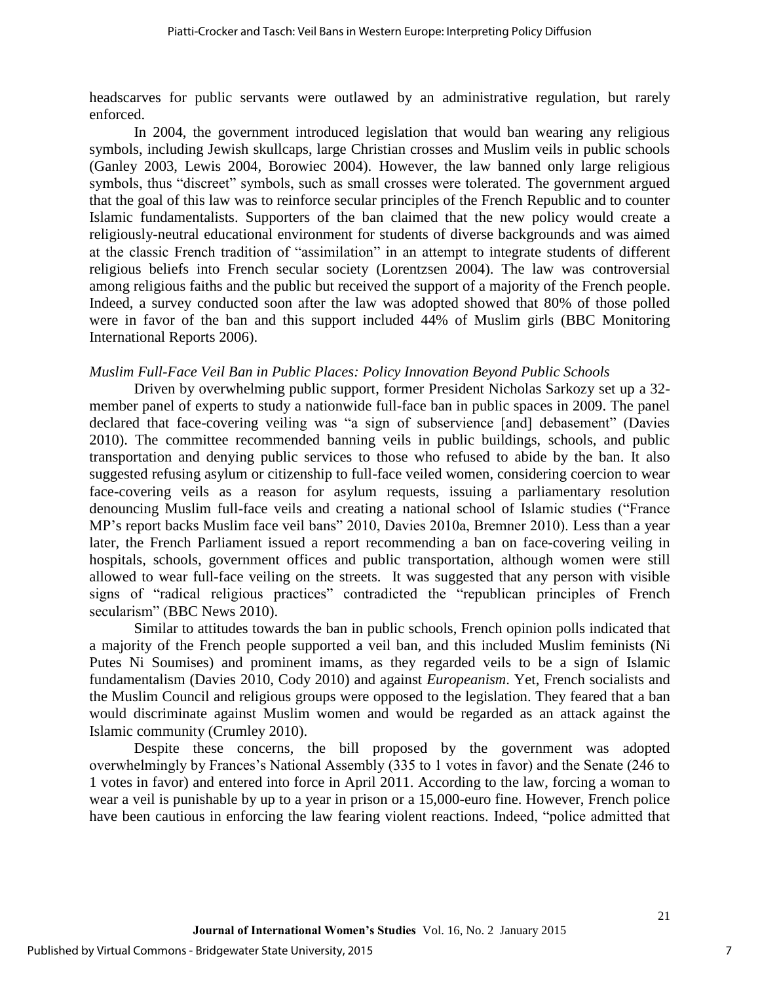headscarves for public servants were outlawed by an administrative regulation, but rarely enforced.

In 2004, the government introduced legislation that would ban wearing any religious symbols, including Jewish skullcaps, large Christian crosses and Muslim veils in public schools (Ganley 2003, Lewis 2004, Borowiec 2004). However, the law banned only large religious symbols, thus "discreet" symbols, such as small crosses were tolerated. The government argued that the goal of this law was to reinforce secular principles of the French Republic and to counter Islamic fundamentalists. Supporters of the ban claimed that the new policy would create a religiously-neutral educational environment for students of diverse backgrounds and was aimed at the classic French tradition of "assimilation" in an attempt to integrate students of different religious beliefs into French secular society (Lorentzsen 2004). The law was controversial among religious faiths and the public but received the support of a majority of the French people. Indeed, a survey conducted soon after the law was adopted showed that 80% of those polled were in favor of the ban and this support included 44% of Muslim girls (BBC Monitoring International Reports 2006).

#### *Muslim Full-Face Veil Ban in Public Places: Policy Innovation Beyond Public Schools*

Driven by overwhelming public support, former President Nicholas Sarkozy set up a 32 member panel of experts to study a nationwide full-face ban in public spaces in 2009. The panel declared that face-covering veiling was "a sign of subservience [and] debasement" (Davies 2010). The committee recommended banning veils in public buildings, schools, and public transportation and denying public services to those who refused to abide by the ban. It also suggested refusing asylum or citizenship to full-face veiled women, considering coercion to wear face-covering veils as a reason for asylum requests, issuing a parliamentary resolution denouncing Muslim full-face veils and creating a national school of Islamic studies ("France MP's report backs Muslim face veil bans" 2010, Davies 2010a, Bremner 2010). Less than a year later, the French Parliament issued a report recommending a ban on face-covering veiling in hospitals, schools, government offices and public transportation, although women were still allowed to wear full-face veiling on the streets. It was suggested that any person with visible signs of "radical religious practices" contradicted the "republican principles of French secularism" (BBC News 2010).

Similar to attitudes towards the ban in public schools, French opinion polls indicated that a majority of the French people supported a veil ban, and this included Muslim feminists (Ni Putes Ni Soumises) and prominent imams, as they regarded veils to be a sign of Islamic fundamentalism (Davies 2010, Cody 2010) and against *Europeanism*. Yet, French socialists and the Muslim Council and religious groups were opposed to the legislation. They feared that a ban would discriminate against Muslim women and would be regarded as an attack against the Islamic community (Crumley 2010).

Despite these concerns, the bill proposed by the government was adopted overwhelmingly by Frances's National Assembly (335 to 1 votes in favor) and the Senate (246 to 1 votes in favor) and entered into force in April 2011. According to the law, forcing a woman to wear a veil is punishable by up to a year in prison or a 15,000-euro fine. However, French police have been cautious in enforcing the law fearing violent reactions. Indeed, "police admitted that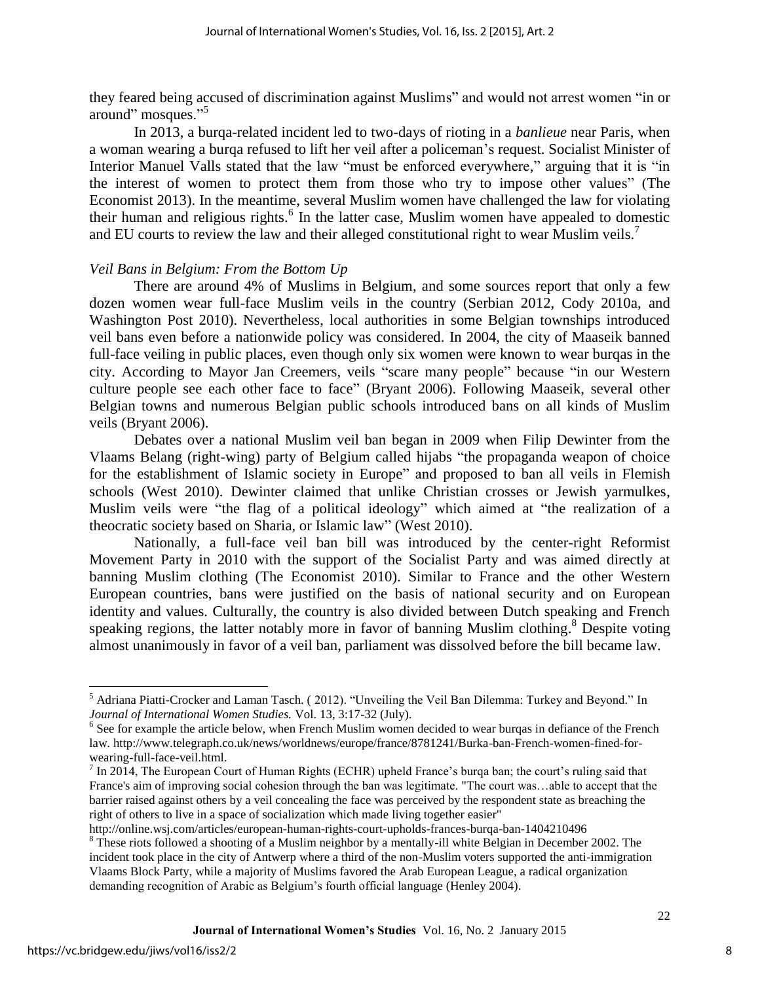they feared being accused of discrimination against Muslims" and would not arrest women "in or around" mosques."<sup>5</sup>

In 2013, a burqa-related incident led to two-days of rioting in a *banlieue* near Paris, when a woman wearing a burqa refused to lift her veil after a policeman's request. Socialist Minister of Interior Manuel Valls stated that the law "must be enforced everywhere," arguing that it is "in the interest of women to protect them from those who try to impose other values" (The Economist 2013). In the meantime, several Muslim women have challenged the law for violating their human and religious rights.<sup>6</sup> In the latter case, Muslim women have appealed to domestic and EU courts to review the law and their alleged constitutional right to wear Muslim veils.<sup>7</sup>

### *Veil Bans in Belgium: From the Bottom Up*

There are around 4% of Muslims in Belgium, and some sources report that only a few dozen women wear full-face Muslim veils in the country (Serbian 2012, Cody 2010a, and Washington Post 2010). Nevertheless, local authorities in some Belgian townships introduced veil bans even before a nationwide policy was considered. In 2004, the city of Maaseik banned full-face veiling in public places, even though only six women were known to wear burqas in the city. According to Mayor Jan Creemers, veils "scare many people" because "in our Western culture people see each other face to face" (Bryant 2006). Following Maaseik, several other Belgian towns and numerous Belgian public schools introduced bans on all kinds of Muslim veils (Bryant 2006).

Debates over a national Muslim veil ban began in 2009 when Filip Dewinter from the Vlaams Belang (right-wing) party of Belgium called hijabs "the propaganda weapon of choice for the establishment of Islamic society in Europe" and proposed to ban all veils in Flemish schools (West 2010). Dewinter claimed that unlike Christian crosses or Jewish yarmulkes, Muslim veils were "the flag of a political ideology" which aimed at "the realization of a theocratic society based on Sharia, or Islamic law" (West 2010).

Nationally, a full-face veil ban bill was introduced by the center-right Reformist Movement Party in 2010 with the support of the Socialist Party and was aimed directly at banning Muslim clothing (The Economist 2010). Similar to France and the other Western European countries, bans were justified on the basis of national security and on European identity and values. Culturally, the country is also divided between Dutch speaking and French speaking regions, the latter notably more in favor of banning Muslim clothing.<sup>8</sup> Despite voting almost unanimously in favor of a veil ban, parliament was dissolved before the bill became law.

<sup>&</sup>lt;sup>5</sup> Adriana Piatti-Crocker and Laman Tasch. (2012). "Unveiling the Veil Ban Dilemma: Turkey and Beyond." In *Journal of International Women Studies.* Vol. 13, 3:17-32 (July).

<sup>&</sup>lt;sup>6</sup> See for example the article below, when French Muslim women decided to wear burqas in defiance of the French law. http://www.telegraph.co.uk/news/worldnews/europe/france/8781241/Burka-ban-French-women-fined-forwearing-full-face-veil.html.

 $^7$  In 2014, The European Court of Human Rights (ECHR) upheld France's burqa ban; the court's ruling said that France's aim of improving social cohesion through the ban was legitimate. "The court was…able to accept that the barrier raised against others by a veil concealing the face was perceived by the respondent state as breaching the right of others to live in a space of socialization which made living together easier"

http://online.wsj.com/articles/european-human-rights-court-upholds-frances-burqa-ban-1404210496

<sup>&</sup>lt;sup>8</sup> These riots followed a shooting of a Muslim neighbor by a mentally-ill white Belgian in December 2002. The incident took place in the city of Antwerp where a third of the non-Muslim voters supported the anti-immigration Vlaams Block Party, while a majority of Muslims favored the Arab European League, a radical organization demanding recognition of Arabic as Belgium's fourth official language (Henley 2004).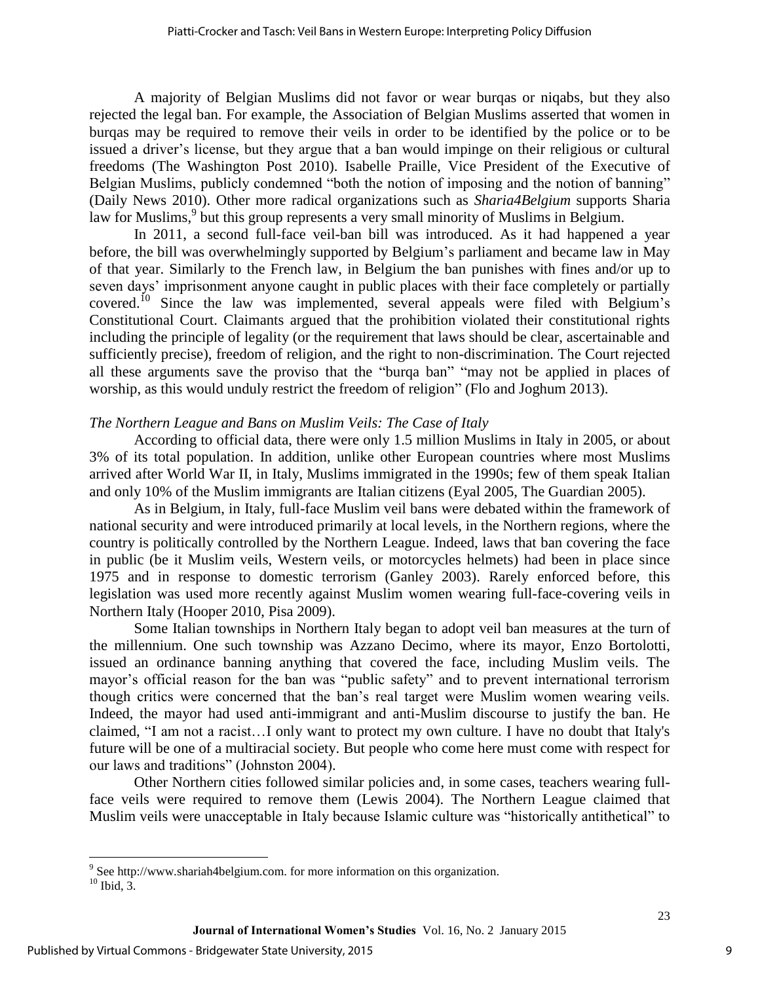A majority of Belgian Muslims did not favor or wear burqas or niqabs, but they also rejected the legal ban. For example, the Association of Belgian Muslims asserted that women in burqas may be required to remove their veils in order to be identified by the police or to be issued a driver's license, but they argue that a ban would impinge on their religious or cultural freedoms (The Washington Post 2010). Isabelle Praille, Vice President of the Executive of Belgian Muslims, publicly condemned "both the notion of imposing and the notion of banning" (Daily News 2010). Other more radical organizations such as *Sharia4Belgium* supports Sharia law for Muslims,<sup>9</sup> but this group represents a very small minority of Muslims in Belgium.

In 2011, a second full-face veil-ban bill was introduced. As it had happened a year before, the bill was overwhelmingly supported by Belgium's parliament and became law in May of that year. Similarly to the French law, in Belgium the ban punishes with fines and/or up to seven days' imprisonment anyone caught in public places with their face completely or partially covered.<sup>10</sup> Since the law was implemented, several appeals were filed with Belgium's Constitutional Court. Claimants argued that the prohibition violated their constitutional rights including the principle of legality (or the requirement that laws should be clear, ascertainable and sufficiently precise), freedom of religion, and the right to non-discrimination. The Court rejected all these arguments save the proviso that the "burqa ban" "may not be applied in places of worship, as this would unduly restrict the freedom of religion" (Flo and Joghum 2013).

### *The Northern League and Bans on Muslim Veils: The Case of Italy*

According to official data, there were only 1.5 million Muslims in Italy in 2005, or about 3% of its total population. In addition, unlike other European countries where most Muslims arrived after World War II, in Italy, Muslims immigrated in the 1990s; few of them speak Italian and only 10% of the Muslim immigrants are Italian citizens (Eyal 2005, The Guardian 2005).

As in Belgium, in Italy, full-face Muslim veil bans were debated within the framework of national security and were introduced primarily at local levels, in the Northern regions, where the country is politically controlled by the Northern League. Indeed, laws that ban covering the face in public (be it Muslim veils, Western veils, or motorcycles helmets) had been in place since 1975 and in response to domestic terrorism (Ganley 2003). Rarely enforced before, this legislation was used more recently against Muslim women wearing full-face-covering veils in Northern Italy (Hooper 2010, Pisa 2009).

Some Italian townships in Northern Italy began to adopt veil ban measures at the turn of the millennium. One such township was Azzano Decimo, where its mayor, Enzo Bortolotti, issued an ordinance banning anything that covered the face, including Muslim veils. The mayor's official reason for the ban was "public safety" and to prevent international terrorism though critics were concerned that the ban's real target were Muslim women wearing veils. Indeed, the mayor had used anti-immigrant and anti-Muslim discourse to justify the ban. He claimed, "I am not a racist…I only want to protect my own culture. I have no doubt that Italy's future will be one of a multiracial society. But people who come here must come with respect for our laws and traditions" (Johnston 2004).

Other Northern cities followed similar policies and, in some cases, teachers wearing fullface veils were required to remove them (Lewis 2004). The Northern League claimed that Muslim veils were unacceptable in Italy because Islamic culture was "historically antithetical" to

<sup>&</sup>lt;sup>9</sup> See http://www.shariah4belgium.com. for more information on this organization.

 $^{10}$  Ibid, 3.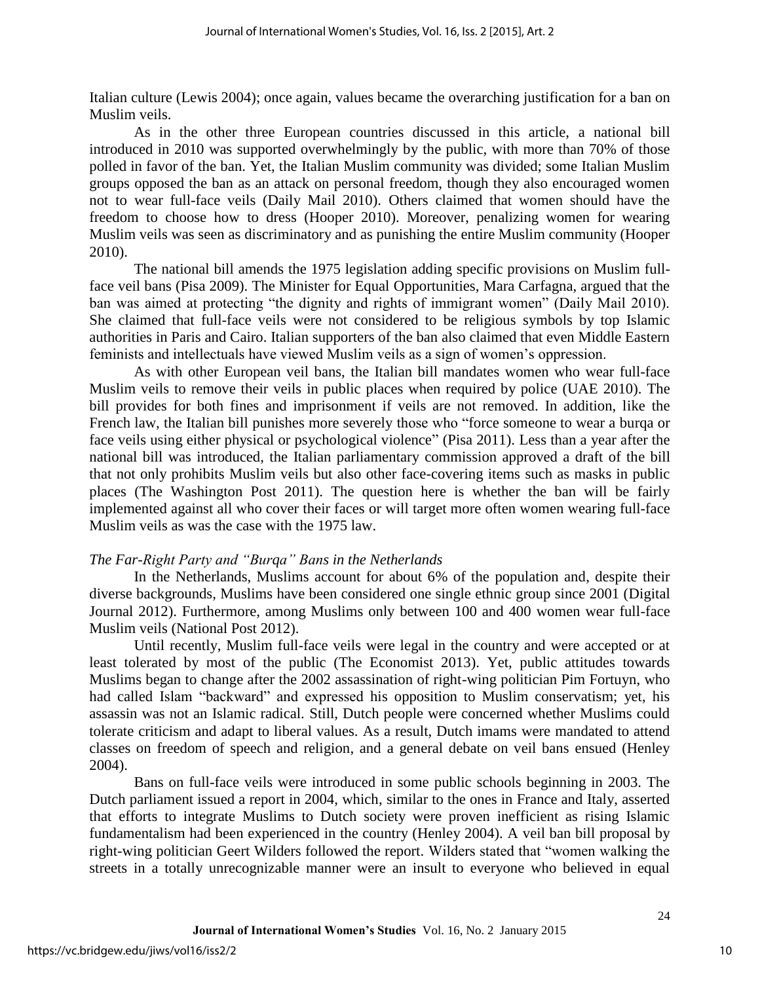Italian culture (Lewis 2004); once again, values became the overarching justification for a ban on Muslim veils.

As in the other three European countries discussed in this article, a national bill introduced in 2010 was supported overwhelmingly by the public, with more than 70% of those polled in favor of the ban. Yet, the Italian Muslim community was divided; some Italian Muslim groups opposed the ban as an attack on personal freedom, though they also encouraged women not to wear full-face veils (Daily Mail 2010). Others claimed that women should have the freedom to choose how to dress (Hooper 2010). Moreover, penalizing women for wearing Muslim veils was seen as discriminatory and as punishing the entire Muslim community (Hooper 2010).

The national bill amends the 1975 legislation adding specific provisions on Muslim fullface veil bans (Pisa 2009). The Minister for Equal Opportunities, Mara Carfagna, argued that the ban was aimed at protecting "the dignity and rights of immigrant women" (Daily Mail 2010). She claimed that full-face veils were not considered to be religious symbols by top Islamic authorities in Paris and Cairo. Italian supporters of the ban also claimed that even Middle Eastern feminists and intellectuals have viewed Muslim veils as a sign of women's oppression.

 As with other European veil bans, the Italian bill mandates women who wear full-face Muslim veils to remove their veils in public places when required by police (UAE 2010). The bill provides for both fines and imprisonment if veils are not removed. In addition, like the French law, the Italian bill punishes more severely those who "force someone to wear a burqa or face veils using either physical or psychological violence" (Pisa 2011). Less than a year after the national bill was introduced, the Italian parliamentary commission approved a draft of the bill that not only prohibits Muslim veils but also other face-covering items such as masks in public places (The Washington Post 2011). The question here is whether the ban will be fairly implemented against all who cover their faces or will target more often women wearing full-face Muslim veils as was the case with the 1975 law.

# *The Far-Right Party and "Burqa" Bans in the Netherlands*

In the Netherlands, Muslims account for about 6% of the population and, despite their diverse backgrounds, Muslims have been considered one single ethnic group since 2001 (Digital Journal 2012). Furthermore, among Muslims only between 100 and 400 women wear full-face Muslim veils (National Post 2012).

Until recently, Muslim full-face veils were legal in the country and were accepted or at least tolerated by most of the public (The Economist 2013). Yet, public attitudes towards Muslims began to change after the 2002 assassination of right-wing politician Pim Fortuyn, who had called Islam "backward" and expressed his opposition to Muslim conservatism; yet, his assassin was not an Islamic radical. Still, Dutch people were concerned whether Muslims could tolerate criticism and adapt to liberal values. As a result, Dutch imams were mandated to attend classes on freedom of speech and religion, and a general debate on veil bans ensued (Henley 2004).

Bans on full-face veils were introduced in some public schools beginning in 2003. The Dutch parliament issued a report in 2004, which, similar to the ones in France and Italy, asserted that efforts to integrate Muslims to Dutch society were proven inefficient as rising Islamic fundamentalism had been experienced in the country (Henley 2004). A veil ban bill proposal by right-wing politician Geert Wilders followed the report. Wilders stated that "women walking the streets in a totally unrecognizable manner were an insult to everyone who believed in equal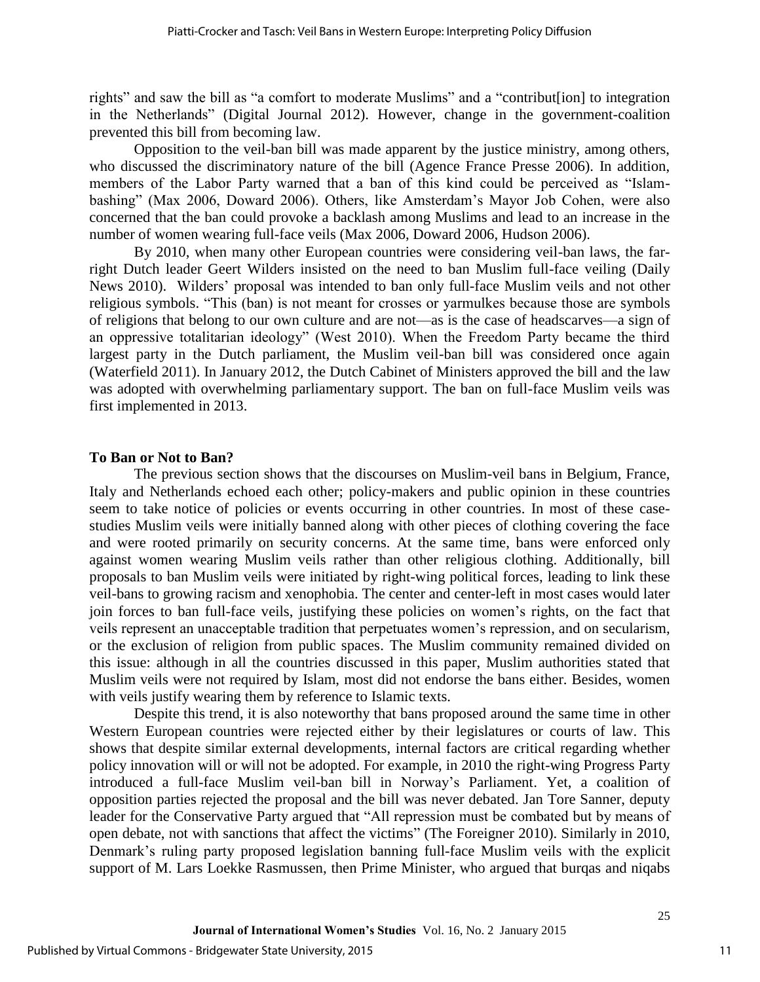rights" and saw the bill as "a comfort to moderate Muslims" and a "contribut[ion] to integration in the Netherlands" (Digital Journal 2012). However, change in the government-coalition prevented this bill from becoming law.

Opposition to the veil-ban bill was made apparent by the justice ministry, among others, who discussed the discriminatory nature of the bill (Agence France Presse 2006). In addition, members of the Labor Party warned that a ban of this kind could be perceived as "Islambashing" (Max 2006, Doward 2006). Others, like Amsterdam's Mayor Job Cohen, were also concerned that the ban could provoke a backlash among Muslims and lead to an increase in the number of women wearing full-face veils (Max 2006, Doward 2006, Hudson 2006).

By 2010, when many other European countries were considering veil-ban laws, the farright Dutch leader Geert Wilders insisted on the need to ban Muslim full-face veiling (Daily News 2010). Wilders' proposal was intended to ban only full-face Muslim veils and not other religious symbols. "This (ban) is not meant for crosses or yarmulkes because those are symbols of religions that belong to our own culture and are not—as is the case of headscarves—a sign of an oppressive totalitarian ideology" (West 2010). When the Freedom Party became the third largest party in the Dutch parliament, the Muslim veil-ban bill was considered once again (Waterfield 2011). In January 2012, the Dutch Cabinet of Ministers approved the bill and the law was adopted with overwhelming parliamentary support. The ban on full-face Muslim veils was first implemented in 2013.

### **To Ban or Not to Ban?**

The previous section shows that the discourses on Muslim-veil bans in Belgium, France, Italy and Netherlands echoed each other; policy-makers and public opinion in these countries seem to take notice of policies or events occurring in other countries. In most of these casestudies Muslim veils were initially banned along with other pieces of clothing covering the face and were rooted primarily on security concerns. At the same time, bans were enforced only against women wearing Muslim veils rather than other religious clothing. Additionally, bill proposals to ban Muslim veils were initiated by right-wing political forces, leading to link these veil-bans to growing racism and xenophobia. The center and center-left in most cases would later join forces to ban full-face veils, justifying these policies on women's rights, on the fact that veils represent an unacceptable tradition that perpetuates women's repression, and on secularism, or the exclusion of religion from public spaces. The Muslim community remained divided on this issue: although in all the countries discussed in this paper, Muslim authorities stated that Muslim veils were not required by Islam, most did not endorse the bans either. Besides, women with veils justify wearing them by reference to Islamic texts.

Despite this trend, it is also noteworthy that bans proposed around the same time in other Western European countries were rejected either by their legislatures or courts of law. This shows that despite similar external developments, internal factors are critical regarding whether policy innovation will or will not be adopted. For example, in 2010 the right-wing Progress Party introduced a full-face Muslim veil-ban bill in Norway's Parliament. Yet, a coalition of opposition parties rejected the proposal and the bill was never debated. Jan Tore Sanner, deputy leader for the Conservative Party argued that "All repression must be combated but by means of open debate, not with sanctions that affect the victims" (The Foreigner 2010). Similarly in 2010, Denmark's ruling party proposed legislation banning full-face Muslim veils with the explicit support of M. Lars Loekke Rasmussen, then Prime Minister, who argued that burqas and niqabs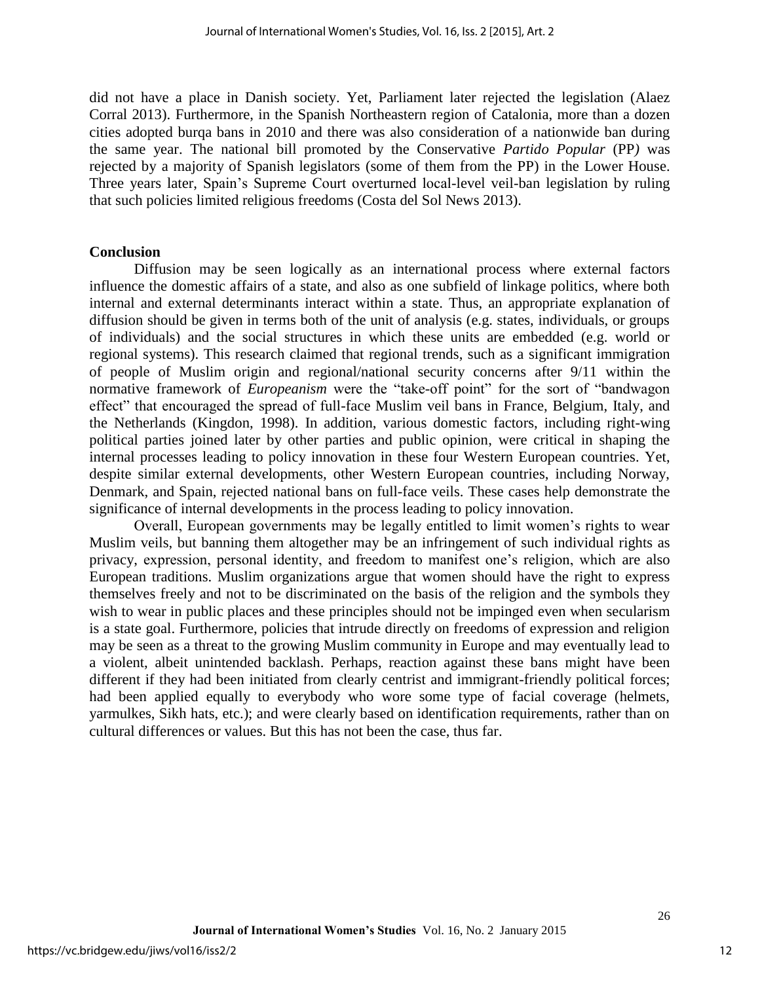did not have a place in Danish society. Yet, Parliament later rejected the legislation (Alaez Corral 2013). Furthermore, in the Spanish Northeastern region of Catalonia, more than a dozen cities adopted burqa bans in 2010 and there was also consideration of a nationwide ban during the same year. The national bill promoted by the Conservative *Partido Popular* (PP*)* was rejected by a majority of Spanish legislators (some of them from the PP) in the Lower House. Three years later, Spain's Supreme Court overturned local-level veil-ban legislation by ruling that such policies limited religious freedoms (Costa del Sol News 2013).

#### **Conclusion**

Diffusion may be seen logically as an international process where external factors influence the domestic affairs of a state, and also as one subfield of linkage politics, where both internal and external determinants interact within a state. Thus, an appropriate explanation of diffusion should be given in terms both of the unit of analysis (e.g. states, individuals, or groups of individuals) and the social structures in which these units are embedded (e.g. world or regional systems). This research claimed that regional trends, such as a significant immigration of people of Muslim origin and regional/national security concerns after 9/11 within the normative framework of *Europeanism* were the "take-off point" for the sort of "bandwagon effect" that encouraged the spread of full-face Muslim veil bans in France, Belgium, Italy, and the Netherlands (Kingdon, 1998). In addition, various domestic factors, including right-wing political parties joined later by other parties and public opinion, were critical in shaping the internal processes leading to policy innovation in these four Western European countries. Yet, despite similar external developments, other Western European countries, including Norway, Denmark, and Spain, rejected national bans on full-face veils. These cases help demonstrate the significance of internal developments in the process leading to policy innovation.

Overall, European governments may be legally entitled to limit women's rights to wear Muslim veils, but banning them altogether may be an infringement of such individual rights as privacy, expression, personal identity, and freedom to manifest one's religion, which are also European traditions. Muslim organizations argue that women should have the right to express themselves freely and not to be discriminated on the basis of the religion and the symbols they wish to wear in public places and these principles should not be impinged even when secularism is a state goal. Furthermore, policies that intrude directly on freedoms of expression and religion may be seen as a threat to the growing Muslim community in Europe and may eventually lead to a violent, albeit unintended backlash. Perhaps, reaction against these bans might have been different if they had been initiated from clearly centrist and immigrant-friendly political forces; had been applied equally to everybody who wore some type of facial coverage (helmets, yarmulkes, Sikh hats, etc.); and were clearly based on identification requirements, rather than on cultural differences or values. But this has not been the case, thus far.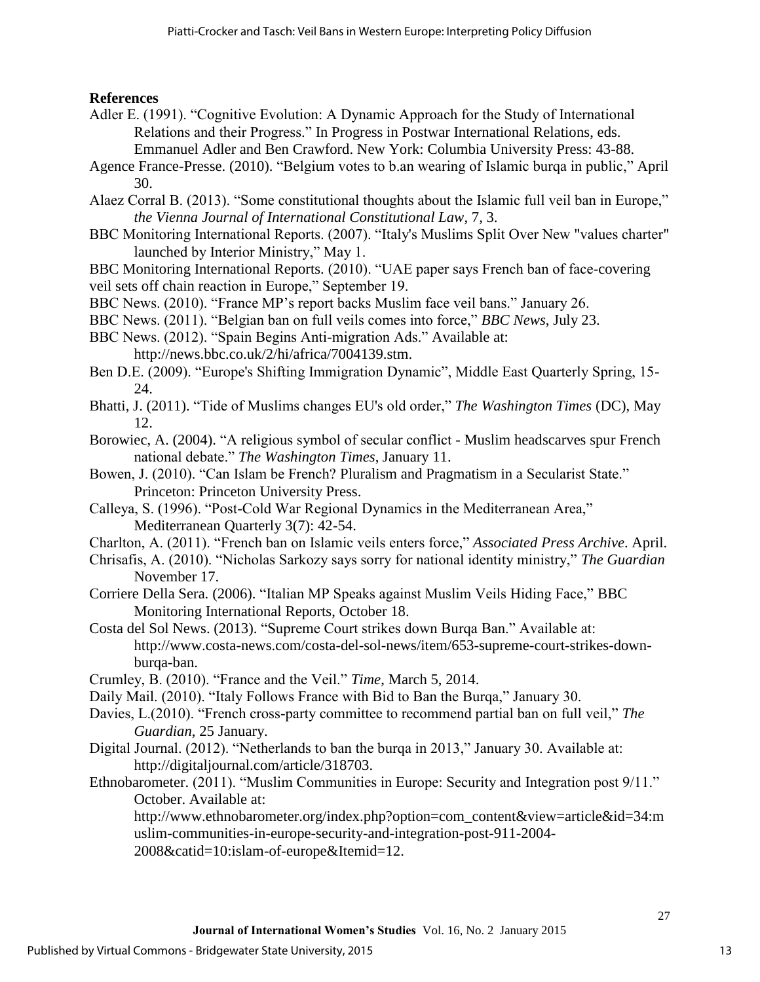# **References**

- Adler E. (1991). "Cognitive Evolution: A Dynamic Approach for the Study of International Relations and their Progress." In Progress in Postwar International Relations, eds. Emmanuel Adler and Ben Crawford. New York: Columbia University Press: 43-88.
- Agence France-Presse. (2010). "Belgium votes to b.an wearing of Islamic burqa in public," April 30.
- Alaez Corral B. (2013). "Some constitutional thoughts about the Islamic full veil ban in Europe," *the Vienna Journal of International Constitutional Law*, 7, 3.
- BBC Monitoring International Reports. (2007). "Italy's Muslims Split Over New "values charter" launched by Interior Ministry," May 1.
- BBC Monitoring International Reports. (2010). "UAE paper says French ban of face-covering veil sets off chain reaction in Europe," September 19.
- BBC News. (2010). "France MP's report backs Muslim face veil bans." January 26.
- BBC News. (2011). "Belgian ban on full veils comes into force," *BBC News*, July 23.
- BBC News. (2012). "Spain Begins Anti-migration Ads." Available at: http://news.bbc.co.uk/2/hi/africa/7004139.stm.
- Ben D.E. (2009). "Europe's Shifting Immigration Dynamic", Middle East Quarterly Spring, 15- 24.
- Bhatti, J. (2011). "Tide of Muslims changes EU's old order," *The Washington Times* (DC), May 12.
- Borowiec, A. (2004). "A religious symbol of secular conflict Muslim headscarves spur French national debate." *The Washington Times*, January 11.
- Bowen, J. (2010). "Can Islam be French? Pluralism and Pragmatism in a Secularist State." Princeton: Princeton University Press.
- Calleya, S. (1996). "Post-Cold War Regional Dynamics in the Mediterranean Area," Mediterranean Quarterly 3(7): 42-54.
- Charlton, A. (2011). "French ban on Islamic veils enters force," *Associated Press Archive*. April.
- Chrisafis, A. (2010). "Nicholas Sarkozy says sorry for national identity ministry," *The Guardian*  November 17.
- Corriere Della Sera. (2006). "Italian MP Speaks against Muslim Veils Hiding Face," BBC Monitoring International Reports, October 18.
- Costa del Sol News. (2013). "Supreme Court strikes down Burqa Ban." Available at: http://www.costa-news.com/costa-del-sol-news/item/653-supreme-court-strikes-downburqa-ban.
- Crumley, B. (2010). "France and the Veil." *Time*, March 5, 2014.
- Daily Mail. (2010). "Italy Follows France with Bid to Ban the Burqa," January 30.
- Davies, L.(2010). "French cross-party committee to recommend partial ban on full veil," *The Guardian*, 25 January.
- Digital Journal. (2012). "Netherlands to ban the burqa in 2013," January 30. Available at: http://digitaljournal.com/article/318703.
- Ethnobarometer. (2011). "Muslim Communities in Europe: Security and Integration post 9/11." October. Available at:

http://www.ethnobarometer.org/index.php?option=com\_content&view=article&id=34:m uslim-communities-in-europe-security-and-integration-post-911-2004-

2008&catid=10:islam-of-europe&Itemid=12.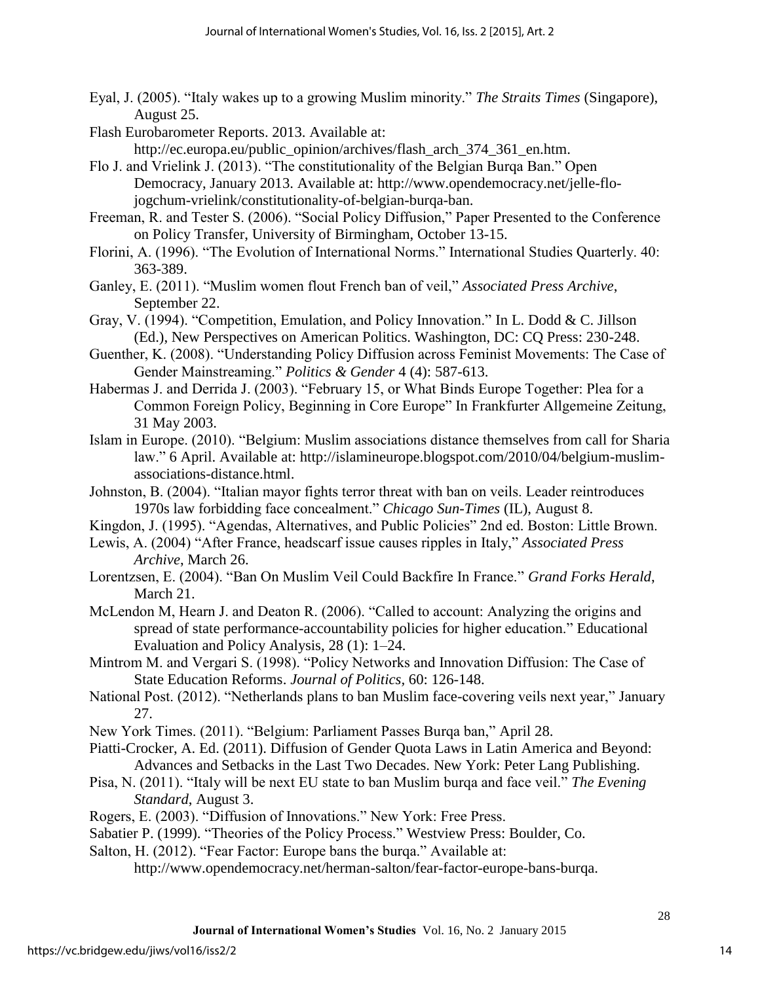Eyal, J. (2005). "Italy wakes up to a growing Muslim minority." *The Straits Times* (Singapore), August 25.

Flash Eurobarometer Reports. 2013. Available at:

http://ec.europa.eu/public\_opinion/archives/flash\_arch\_374\_361\_en.htm.

Flo J. and Vrielink J. (2013). "The constitutionality of the Belgian Burqa Ban." Open Democracy, January 2013. Available at: http://www.opendemocracy.net/jelle-flojogchum-vrielink/constitutionality-of-belgian-burqa-ban.

Freeman, R. and Tester S. (2006). "Social Policy Diffusion," Paper Presented to the Conference on Policy Transfer, University of Birmingham, October 13-15.

Florini, A. (1996). "The Evolution of International Norms." International Studies Quarterly. 40: 363-389.

Ganley, E. (2011). "Muslim women flout French ban of veil," *Associated Press Archive*, September 22.

Gray, V. (1994). "Competition, Emulation, and Policy Innovation." In L. Dodd & C. Jillson (Ed.), New Perspectives on American Politics. Washington, DC: CQ Press: 230-248.

- Guenther, K. (2008). "Understanding Policy Diffusion across Feminist Movements: The Case of Gender Mainstreaming." *Politics & Gender* 4 (4): 587-613.
- Habermas J. and Derrida J. (2003). "February 15, or What Binds Europe Together: Plea for a Common Foreign Policy, Beginning in Core Europe" In Frankfurter Allgemeine Zeitung, 31 May 2003.
- Islam in Europe. (2010). "Belgium: Muslim associations distance themselves from call for Sharia law." 6 April. Available at: http://islamineurope.blogspot.com/2010/04/belgium-muslimassociations-distance.html.

Johnston, B. (2004). "Italian mayor fights terror threat with ban on veils. Leader reintroduces 1970s law forbidding face concealment." *Chicago Sun-Times* (IL), August 8.

Kingdon, J. (1995). "Agendas, Alternatives, and Public Policies" 2nd ed. Boston: Little Brown.

Lewis, A. (2004) "After France, headscarf issue causes ripples in Italy," *Associated Press Archive*, March 26.

Lorentzsen, E. (2004). "Ban On Muslim Veil Could Backfire In France." *Grand Forks Herald*, March 21.

McLendon M, Hearn J. and Deaton R. (2006). "Called to account: Analyzing the origins and spread of state performance-accountability policies for higher education." Educational Evaluation and Policy Analysis, 28 (1): 1–24.

Mintrom M. and Vergari S. (1998). "Policy Networks and Innovation Diffusion: The Case of State Education Reforms. *Journal of Politics,* 60: 126-148.

National Post. (2012). "Netherlands plans to ban Muslim face-covering veils next year," January 27.

New York Times. (2011). "Belgium: Parliament Passes Burqa ban," April 28.

Piatti-Crocker, A. Ed. (2011). Diffusion of Gender Quota Laws in Latin America and Beyond: Advances and Setbacks in the Last Two Decades. New York: Peter Lang Publishing.

Pisa, N. (2011). "Italy will be next EU state to ban Muslim burqa and face veil." *The Evening Standard*, August 3.

Rogers, E. (2003). "Diffusion of Innovations." New York: Free Press.

Sabatier P. (1999). "Theories of the Policy Process." Westview Press: Boulder, Co.

Salton, H. (2012). "Fear Factor: Europe bans the burqa." Available at:

http://www.opendemocracy.net/herman-salton/fear-factor-europe-bans-burqa.